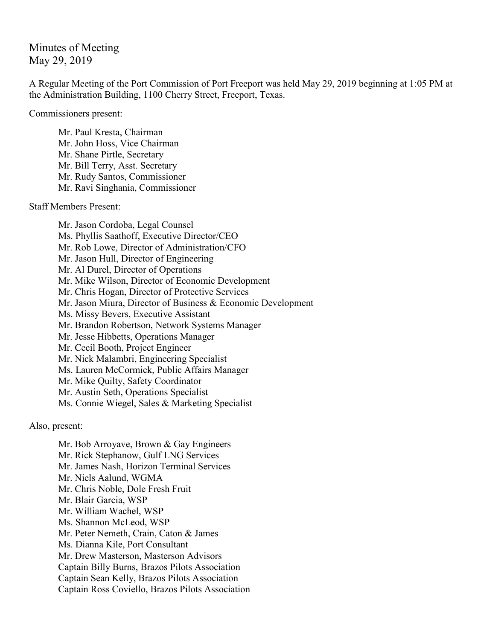Minutes of Meeting May 29, 2019

A Regular Meeting of the Port Commission of Port Freeport was held May 29, 2019 beginning at 1:05 PM at the Administration Building, 1100 Cherry Street, Freeport, Texas.

Commissioners present:

Mr. Paul Kresta, Chairman Mr. John Hoss, Vice Chairman Mr. Shane Pirtle, Secretary Mr. Bill Terry, Asst. Secretary Mr. Rudy Santos, Commissioner Mr. Ravi Singhania, Commissioner

Staff Members Present:

Mr. Jason Cordoba, Legal Counsel Ms. Phyllis Saathoff, Executive Director/CEO Mr. Rob Lowe, Director of Administration/CFO Mr. Jason Hull, Director of Engineering Mr. Al Durel, Director of Operations Mr. Mike Wilson, Director of Economic Development Mr. Chris Hogan, Director of Protective Services Mr. Jason Miura, Director of Business & Economic Development Ms. Missy Bevers, Executive Assistant Mr. Brandon Robertson, Network Systems Manager Mr. Jesse Hibbetts, Operations Manager Mr. Cecil Booth, Project Engineer Mr. Nick Malambri, Engineering Specialist Ms. Lauren McCormick, Public Affairs Manager Mr. Mike Quilty, Safety Coordinator Mr. Austin Seth, Operations Specialist Ms. Connie Wiegel, Sales & Marketing Specialist

Also, present:

Mr. Bob Arroyave, Brown & Gay Engineers Mr. Rick Stephanow, Gulf LNG Services Mr. James Nash, Horizon Terminal Services Mr. Niels Aalund, WGMA Mr. Chris Noble, Dole Fresh Fruit Mr. Blair Garcia, WSP Mr. William Wachel, WSP Ms. Shannon McLeod, WSP Mr. Peter Nemeth, Crain, Caton & James Ms. Dianna Kile, Port Consultant Mr. Drew Masterson, Masterson Advisors Captain Billy Burns, Brazos Pilots Association Captain Sean Kelly, Brazos Pilots Association Captain Ross Coviello, Brazos Pilots Association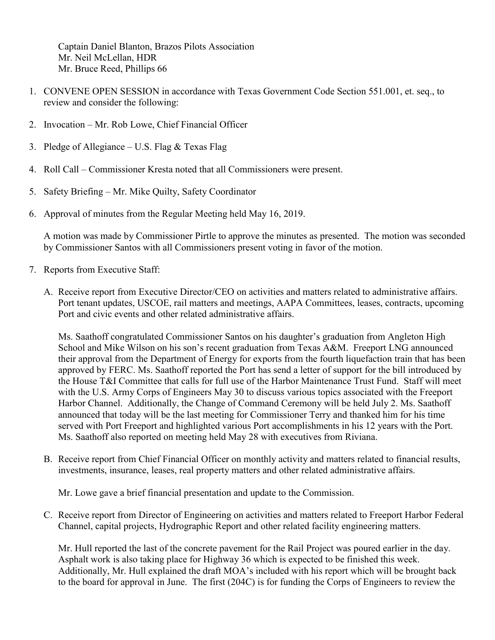Captain Daniel Blanton, Brazos Pilots Association Mr. Neil McLellan, HDR Mr. Bruce Reed, Phillips 66

- 1. CONVENE OPEN SESSION in accordance with Texas Government Code Section 551.001, et. seq., to review and consider the following:
- 2. Invocation Mr. Rob Lowe, Chief Financial Officer
- 3. Pledge of Allegiance U.S. Flag & Texas Flag
- 4. Roll Call Commissioner Kresta noted that all Commissioners were present.
- 5. Safety Briefing Mr. Mike Quilty, Safety Coordinator
- 6. Approval of minutes from the Regular Meeting held May 16, 2019.

A motion was made by Commissioner Pirtle to approve the minutes as presented. The motion was seconded by Commissioner Santos with all Commissioners present voting in favor of the motion.

- 7. Reports from Executive Staff:
	- A. Receive report from Executive Director/CEO on activities and matters related to administrative affairs. Port tenant updates, USCOE, rail matters and meetings, AAPA Committees, leases, contracts, upcoming Port and civic events and other related administrative affairs.

Ms. Saathoff congratulated Commissioner Santos on his daughter's graduation from Angleton High School and Mike Wilson on his son's recent graduation from Texas A&M. Freeport LNG announced their approval from the Department of Energy for exports from the fourth liquefaction train that has been approved by FERC. Ms. Saathoff reported the Port has send a letter of support for the bill introduced by the House T&I Committee that calls for full use of the Harbor Maintenance Trust Fund. Staff will meet with the U.S. Army Corps of Engineers May 30 to discuss various topics associated with the Freeport Harbor Channel. Additionally, the Change of Command Ceremony will be held July 2. Ms. Saathoff announced that today will be the last meeting for Commissioner Terry and thanked him for his time served with Port Freeport and highlighted various Port accomplishments in his 12 years with the Port. Ms. Saathoff also reported on meeting held May 28 with executives from Riviana.

B. Receive report from Chief Financial Officer on monthly activity and matters related to financial results, investments, insurance, leases, real property matters and other related administrative affairs.

Mr. Lowe gave a brief financial presentation and update to the Commission.

C. Receive report from Director of Engineering on activities and matters related to Freeport Harbor Federal Channel, capital projects, Hydrographic Report and other related facility engineering matters.

Mr. Hull reported the last of the concrete pavement for the Rail Project was poured earlier in the day. Asphalt work is also taking place for Highway 36 which is expected to be finished this week. Additionally, Mr. Hull explained the draft MOA's included with his report which will be brought back to the board for approval in June. The first (204C) is for funding the Corps of Engineers to review the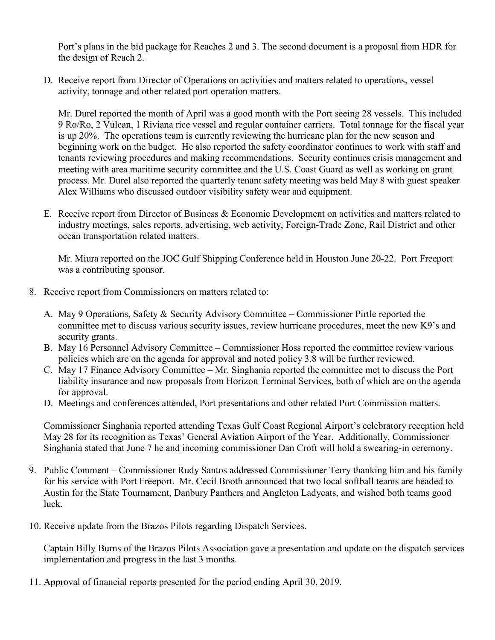Port's plans in the bid package for Reaches 2 and 3. The second document is a proposal from HDR for the design of Reach 2.

D. Receive report from Director of Operations on activities and matters related to operations, vessel activity, tonnage and other related port operation matters.

Mr. Durel reported the month of April was a good month with the Port seeing 28 vessels. This included 9 Ro/Ro, 2 Vulcan, 1 Riviana rice vessel and regular container carriers. Total tonnage for the fiscal year is up 20%. The operations team is currently reviewing the hurricane plan for the new season and beginning work on the budget. He also reported the safety coordinator continues to work with staff and tenants reviewing procedures and making recommendations. Security continues crisis management and meeting with area maritime security committee and the U.S. Coast Guard as well as working on grant process. Mr. Durel also reported the quarterly tenant safety meeting was held May 8 with guest speaker Alex Williams who discussed outdoor visibility safety wear and equipment.

E. Receive report from Director of Business & Economic Development on activities and matters related to industry meetings, sales reports, advertising, web activity, Foreign-Trade Zone, Rail District and other ocean transportation related matters.

Mr. Miura reported on the JOC Gulf Shipping Conference held in Houston June 20-22. Port Freeport was a contributing sponsor.

- 8. Receive report from Commissioners on matters related to:
	- A. May 9 Operations, Safety & Security Advisory Committee Commissioner Pirtle reported the committee met to discuss various security issues, review hurricane procedures, meet the new K9's and security grants.
	- B. May 16 Personnel Advisory Committee Commissioner Hoss reported the committee review various policies which are on the agenda for approval and noted policy 3.8 will be further reviewed.
	- C. May 17 Finance Advisory Committee Mr. Singhania reported the committee met to discuss the Port liability insurance and new proposals from Horizon Terminal Services, both of which are on the agenda for approval.
	- D. Meetings and conferences attended, Port presentations and other related Port Commission matters.

Commissioner Singhania reported attending Texas Gulf Coast Regional Airport's celebratory reception held May 28 for its recognition as Texas' General Aviation Airport of the Year. Additionally, Commissioner Singhania stated that June 7 he and incoming commissioner Dan Croft will hold a swearing-in ceremony.

- 9. Public Comment Commissioner Rudy Santos addressed Commissioner Terry thanking him and his family for his service with Port Freeport. Mr. Cecil Booth announced that two local softball teams are headed to Austin for the State Tournament, Danbury Panthers and Angleton Ladycats, and wished both teams good luck.
- 10. Receive update from the Brazos Pilots regarding Dispatch Services.

Captain Billy Burns of the Brazos Pilots Association gave a presentation and update on the dispatch services implementation and progress in the last 3 months.

11. Approval of financial reports presented for the period ending April 30, 2019.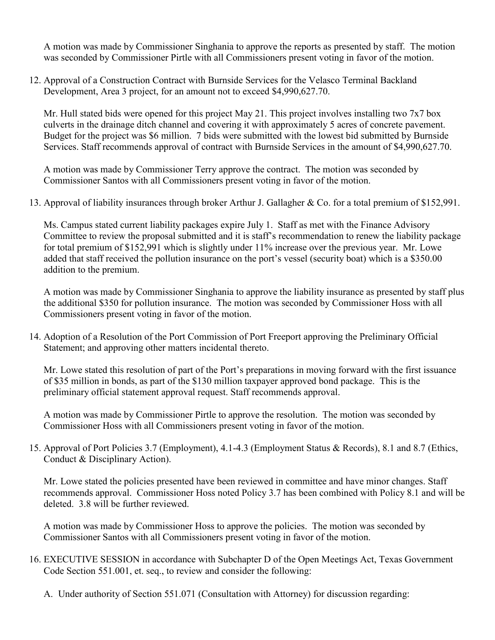A motion was made by Commissioner Singhania to approve the reports as presented by staff. The motion was seconded by Commissioner Pirtle with all Commissioners present voting in favor of the motion.

12. Approval of a Construction Contract with Burnside Services for the Velasco Terminal Backland Development, Area 3 project, for an amount not to exceed \$4,990,627.70.

Mr. Hull stated bids were opened for this project May 21. This project involves installing two 7x7 box culverts in the drainage ditch channel and covering it with approximately 5 acres of concrete pavement. Budget for the project was \$6 million. 7 bids were submitted with the lowest bid submitted by Burnside Services. Staff recommends approval of contract with Burnside Services in the amount of \$4,990,627.70.

A motion was made by Commissioner Terry approve the contract. The motion was seconded by Commissioner Santos with all Commissioners present voting in favor of the motion.

13. Approval of liability insurances through broker Arthur J. Gallagher & Co. for a total premium of \$152,991.

Ms. Campus stated current liability packages expire July 1. Staff as met with the Finance Advisory Committee to review the proposal submitted and it is staff's recommendation to renew the liability package for total premium of \$152,991 which is slightly under 11% increase over the previous year. Mr. Lowe added that staff received the pollution insurance on the port's vessel (security boat) which is a \$350.00 addition to the premium.

A motion was made by Commissioner Singhania to approve the liability insurance as presented by staff plus the additional \$350 for pollution insurance. The motion was seconded by Commissioner Hoss with all Commissioners present voting in favor of the motion.

14. Adoption of a Resolution of the Port Commission of Port Freeport approving the Preliminary Official Statement; and approving other matters incidental thereto.

Mr. Lowe stated this resolution of part of the Port's preparations in moving forward with the first issuance of \$35 million in bonds, as part of the \$130 million taxpayer approved bond package. This is the preliminary official statement approval request. Staff recommends approval.

A motion was made by Commissioner Pirtle to approve the resolution. The motion was seconded by Commissioner Hoss with all Commissioners present voting in favor of the motion.

15. Approval of Port Policies 3.7 (Employment), 4.1-4.3 (Employment Status & Records), 8.1 and 8.7 (Ethics, Conduct & Disciplinary Action).

Mr. Lowe stated the policies presented have been reviewed in committee and have minor changes. Staff recommends approval. Commissioner Hoss noted Policy 3.7 has been combined with Policy 8.1 and will be deleted. 3.8 will be further reviewed.

A motion was made by Commissioner Hoss to approve the policies. The motion was seconded by Commissioner Santos with all Commissioners present voting in favor of the motion.

- 16. EXECUTIVE SESSION in accordance with Subchapter D of the Open Meetings Act, Texas Government Code Section 551.001, et. seq., to review and consider the following:
	- A. Under authority of Section 551.071 (Consultation with Attorney) for discussion regarding: